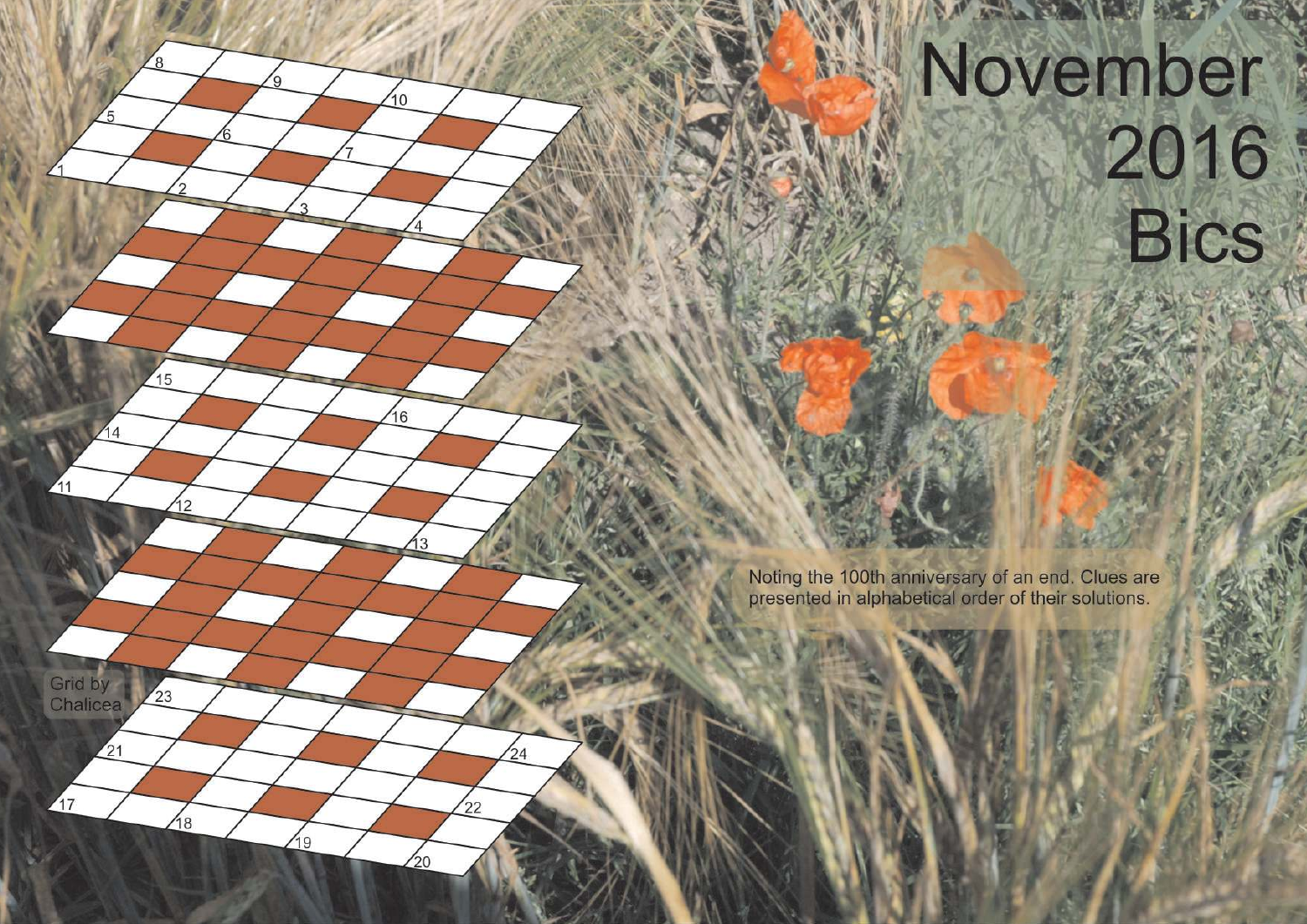## November 2016 **Bics**

**THE REAL PROPERTY AND REAL PROPERTY** 

Noting the 100th anniversary of an end. Clues are presented in alphabetical order of their solutions.

 $10^{-1}$ 

 $16$ 

13

 $24$ 

 $22$ 

 $^{20}$ 

15

12

 $23$ 

18

 $\sqrt{19}$ 

 $44$ 

 $\mathcal{M}_1$ 

Grid by

Chalicea

 $\sqrt{17}$ 

 $\overline{21}$